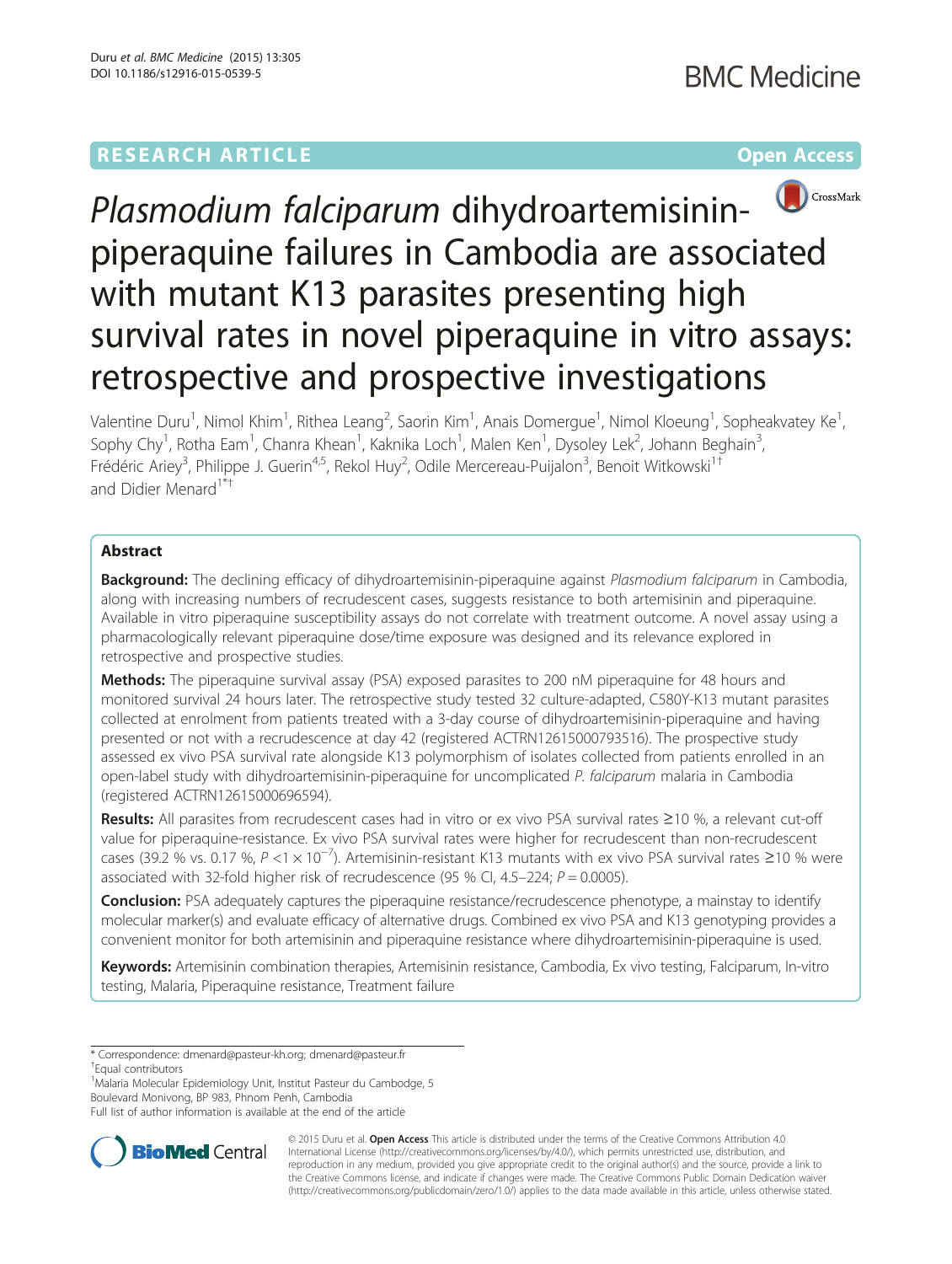## **RESEARCH ARTICLE Example 2014 12:30 The Contract of Contract ACCESS**



Plasmodium falciparum dihydroartemisininpiperaquine failures in Cambodia are associated with mutant K13 parasites presenting high survival rates in novel piperaquine in vitro assays: retrospective and prospective investigations

Valentine Duru<sup>1</sup>, Nimol Khim<sup>1</sup>, Rithea Leang<sup>2</sup>, Saorin Kim<sup>1</sup>, Anais Domergue<sup>1</sup>, Nimol Kloeung<sup>1</sup>, Sopheakvatey Ke<sup>1</sup> , Sophy Chy<sup>1</sup>, Rotha Eam<sup>1</sup>, Chanra Khean<sup>1</sup>, Kaknika Loch<sup>1</sup>, Malen Ken<sup>1</sup>, Dysoley Lek<sup>2</sup>, Johann Beghain<sup>3</sup> , Frédéric Ariey<sup>3</sup>, Philippe J. Guerin<sup>4,5</sup>, Rekol Huy<sup>2</sup>, Odile Mercereau-Puijalon<sup>3</sup>, Benoit Witkowski<sup>1†</sup> and Didier Menard<sup>1\*†</sup>

## Abstract

Background: The declining efficacy of dihydroartemisinin-piperaquine against Plasmodium falciparum in Cambodia, along with increasing numbers of recrudescent cases, suggests resistance to both artemisinin and piperaquine. Available in vitro piperaquine susceptibility assays do not correlate with treatment outcome. A novel assay using a pharmacologically relevant piperaquine dose/time exposure was designed and its relevance explored in retrospective and prospective studies.

Methods: The piperaquine survival assay (PSA) exposed parasites to 200 nM piperaquine for 48 hours and monitored survival 24 hours later. The retrospective study tested 32 culture-adapted, C580Y-K13 mutant parasites collected at enrolment from patients treated with a 3-day course of dihydroartemisinin-piperaquine and having presented or not with a recrudescence at day 42 (registered ACTRN12615000793516). The prospective study assessed ex vivo PSA survival rate alongside K13 polymorphism of isolates collected from patients enrolled in an open-label study with dihydroartemisinin-piperaquine for uncomplicated P. falciparum malaria in Cambodia (registered ACTRN12615000696594).

Results: All parasites from recrudescent cases had in vitro or ex vivo PSA survival rates ≥10 %, a relevant cut-off value for piperaquine-resistance. Ex vivo PSA survival rates were higher for recrudescent than non-recrudescent cases (39.2 % vs. 0.17 %, P <1  $\times$  10<sup>-7</sup>). Artemisinin-resistant K13 mutants with ex vivo PSA survival rates ≥10 % were associated with 32-fold higher risk of recrudescence (95 % CI, 4.5–224;  $P = 0.0005$ ).

**Conclusion:** PSA adequately captures the piperaquine resistance/recrudescence phenotype, a mainstay to identify molecular marker(s) and evaluate efficacy of alternative drugs. Combined ex vivo PSA and K13 genotyping provides a convenient monitor for both artemisinin and piperaquine resistance where dihydroartemisinin-piperaquine is used.

Keywords: Artemisinin combination therapies, Artemisinin resistance, Cambodia, Ex vivo testing, Falciparum, In-vitro testing, Malaria, Piperaquine resistance, Treatment failure

† Equal contributors

<sup>1</sup> Malaria Molecular Epidemiology Unit, Institut Pasteur du Cambodge, 5 Boulevard Monivong, BP 983, Phnom Penh, Cambodia

Full list of author information is available at the end of the article



© 2015 Duru et al. Open Access This article is distributed under the terms of the Creative Commons Attribution 4.0 International License [\(http://creativecommons.org/licenses/by/4.0/](http://creativecommons.org/licenses/by/4.0/)), which permits unrestricted use, distribution, and reproduction in any medium, provided you give appropriate credit to the original author(s) and the source, provide a link to the Creative Commons license, and indicate if changes were made. The Creative Commons Public Domain Dedication waiver [\(http://creativecommons.org/publicdomain/zero/1.0/](http://creativecommons.org/publicdomain/zero/1.0/)) applies to the data made available in this article, unless otherwise stated.

<sup>\*</sup> Correspondence: [dmenard@pasteur-kh.org](mailto:dmenard@pasteur-kh.org); [dmenard@pasteur.fr](mailto:dmenard@pasteur.fr)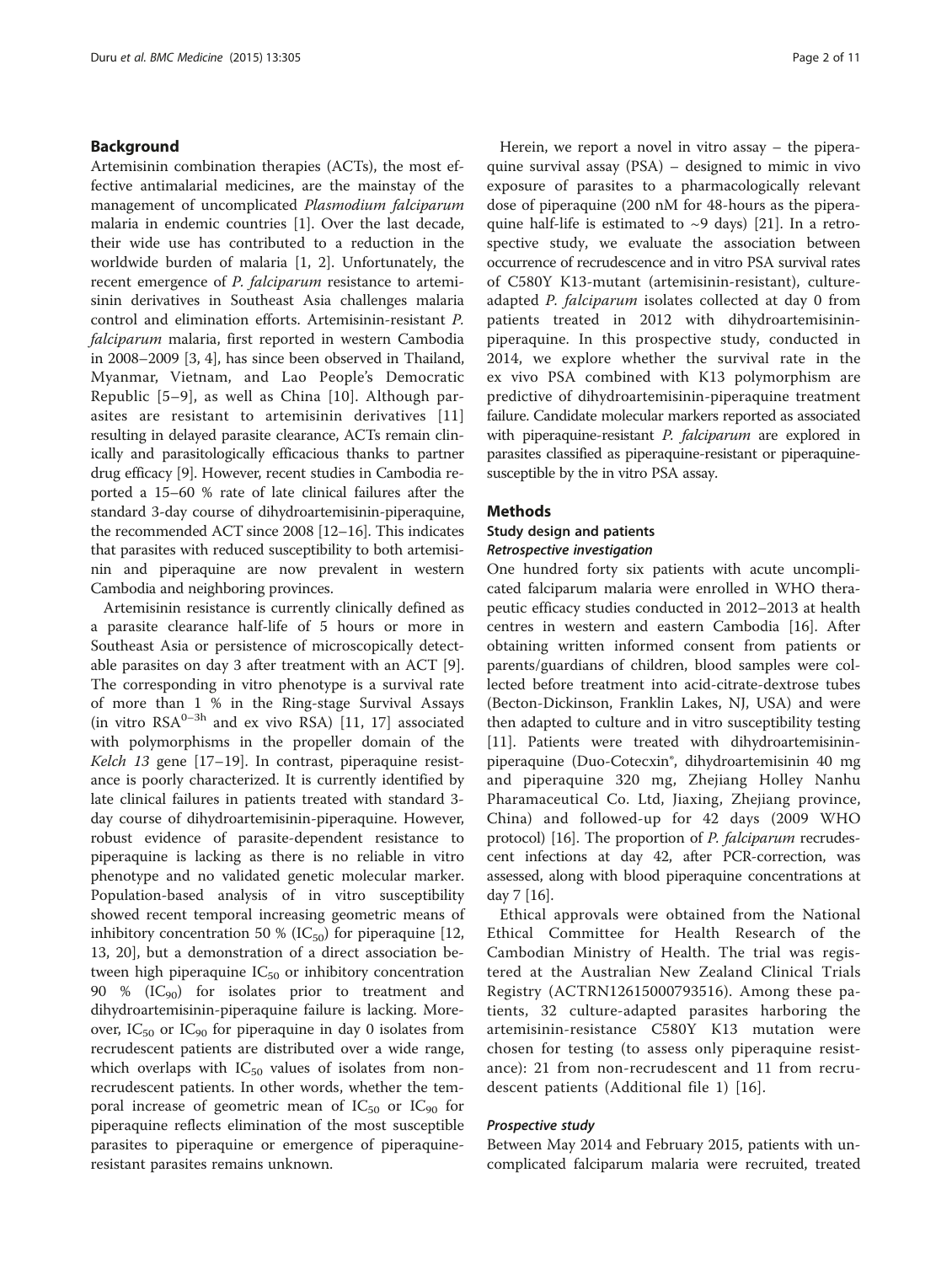## Background

Artemisinin combination therapies (ACTs), the most effective antimalarial medicines, are the mainstay of the management of uncomplicated Plasmodium falciparum malaria in endemic countries [[1\]](#page-9-0). Over the last decade, their wide use has contributed to a reduction in the worldwide burden of malaria [[1, 2](#page-9-0)]. Unfortunately, the recent emergence of P. falciparum resistance to artemisinin derivatives in Southeast Asia challenges malaria control and elimination efforts. Artemisinin-resistant P. falciparum malaria, first reported in western Cambodia in 2008–2009 [\[3](#page-9-0), [4](#page-9-0)], has since been observed in Thailand, Myanmar, Vietnam, and Lao People's Democratic Republic [[5](#page-9-0)–[9\]](#page-9-0), as well as China [[10\]](#page-9-0). Although parasites are resistant to artemisinin derivatives [\[11](#page-9-0)] resulting in delayed parasite clearance, ACTs remain clinically and parasitologically efficacious thanks to partner drug efficacy [\[9](#page-9-0)]. However, recent studies in Cambodia reported a 15–60 % rate of late clinical failures after the standard 3-day course of dihydroartemisinin-piperaquine, the recommended ACT since 2008 [\[12](#page-9-0)–[16](#page-9-0)]. This indicates that parasites with reduced susceptibility to both artemisinin and piperaquine are now prevalent in western Cambodia and neighboring provinces.

Artemisinin resistance is currently clinically defined as a parasite clearance half-life of 5 hours or more in Southeast Asia or persistence of microscopically detectable parasites on day 3 after treatment with an ACT [\[9](#page-9-0)]. The corresponding in vitro phenotype is a survival rate of more than 1 % in the Ring-stage Survival Assays (in vitro  $RSA^{0-3h}$  and ex vivo RSA) [[11,](#page-9-0) [17\]](#page-10-0) associated with polymorphisms in the propeller domain of the Kelch 13 gene [\[17](#page-10-0)-[19](#page-10-0)]. In contrast, piperaquine resistance is poorly characterized. It is currently identified by late clinical failures in patients treated with standard 3 day course of dihydroartemisinin-piperaquine. However, robust evidence of parasite-dependent resistance to piperaquine is lacking as there is no reliable in vitro phenotype and no validated genetic molecular marker. Population-based analysis of in vitro susceptibility showed recent temporal increasing geometric means of inhibitory concentration 50 % ( $IC_{50}$ ) for piperaquine [[12](#page-9-0), [13,](#page-9-0) [20](#page-10-0)], but a demonstration of a direct association between high piperaquine  $IC_{50}$  or inhibitory concentration 90 %  $(IC_{90})$  for isolates prior to treatment and dihydroartemisinin-piperaquine failure is lacking. Moreover,  $IC_{50}$  or  $IC_{90}$  for piperaquine in day 0 isolates from recrudescent patients are distributed over a wide range, which overlaps with  $IC_{50}$  values of isolates from nonrecrudescent patients. In other words, whether the temporal increase of geometric mean of  $IC_{50}$  or  $IC_{90}$  for piperaquine reflects elimination of the most susceptible parasites to piperaquine or emergence of piperaquineresistant parasites remains unknown.

Herein, we report a novel in vitro assay – the piperaquine survival assay (PSA) – designed to mimic in vivo exposure of parasites to a pharmacologically relevant dose of piperaquine (200 nM for 48-hours as the piperaquine half-life is estimated to  $\sim$ 9 days) [\[21\]](#page-10-0). In a retrospective study, we evaluate the association between occurrence of recrudescence and in vitro PSA survival rates of C580Y K13-mutant (artemisinin-resistant), cultureadapted P. falciparum isolates collected at day 0 from patients treated in 2012 with dihydroartemisininpiperaquine. In this prospective study, conducted in 2014, we explore whether the survival rate in the ex vivo PSA combined with K13 polymorphism are predictive of dihydroartemisinin-piperaquine treatment failure. Candidate molecular markers reported as associated with piperaquine-resistant P. falciparum are explored in parasites classified as piperaquine-resistant or piperaquinesusceptible by the in vitro PSA assay.

### Methods

## Study design and patients Retrospective investigation

One hundred forty six patients with acute uncomplicated falciparum malaria were enrolled in WHO therapeutic efficacy studies conducted in 2012–2013 at health centres in western and eastern Cambodia [[16\]](#page-9-0). After obtaining written informed consent from patients or parents/guardians of children, blood samples were collected before treatment into acid-citrate-dextrose tubes (Becton-Dickinson, Franklin Lakes, NJ, USA) and were then adapted to culture and in vitro susceptibility testing [[11\]](#page-9-0). Patients were treated with dihydroartemisininpiperaquine (Duo-Cotecxin®, dihydroartemisinin 40 mg and piperaquine 320 mg, Zhejiang Holley Nanhu Pharamaceutical Co. Ltd, Jiaxing, Zhejiang province, China) and followed-up for 42 days (2009 WHO protocol) [[16](#page-9-0)]. The proportion of *P. falciparum* recrudescent infections at day 42, after PCR-correction, was assessed, along with blood piperaquine concentrations at day 7 [[16](#page-9-0)].

Ethical approvals were obtained from the National Ethical Committee for Health Research of the Cambodian Ministry of Health. The trial was registered at the Australian New Zealand Clinical Trials Registry (ACTRN12615000793516). Among these patients, 32 culture-adapted parasites harboring the artemisinin-resistance C580Y K13 mutation were chosen for testing (to assess only piperaquine resistance): 21 from non-recrudescent and 11 from recrudescent patients (Additional file [1\)](#page-9-0) [[16\]](#page-9-0).

#### Prospective study

Between May 2014 and February 2015, patients with uncomplicated falciparum malaria were recruited, treated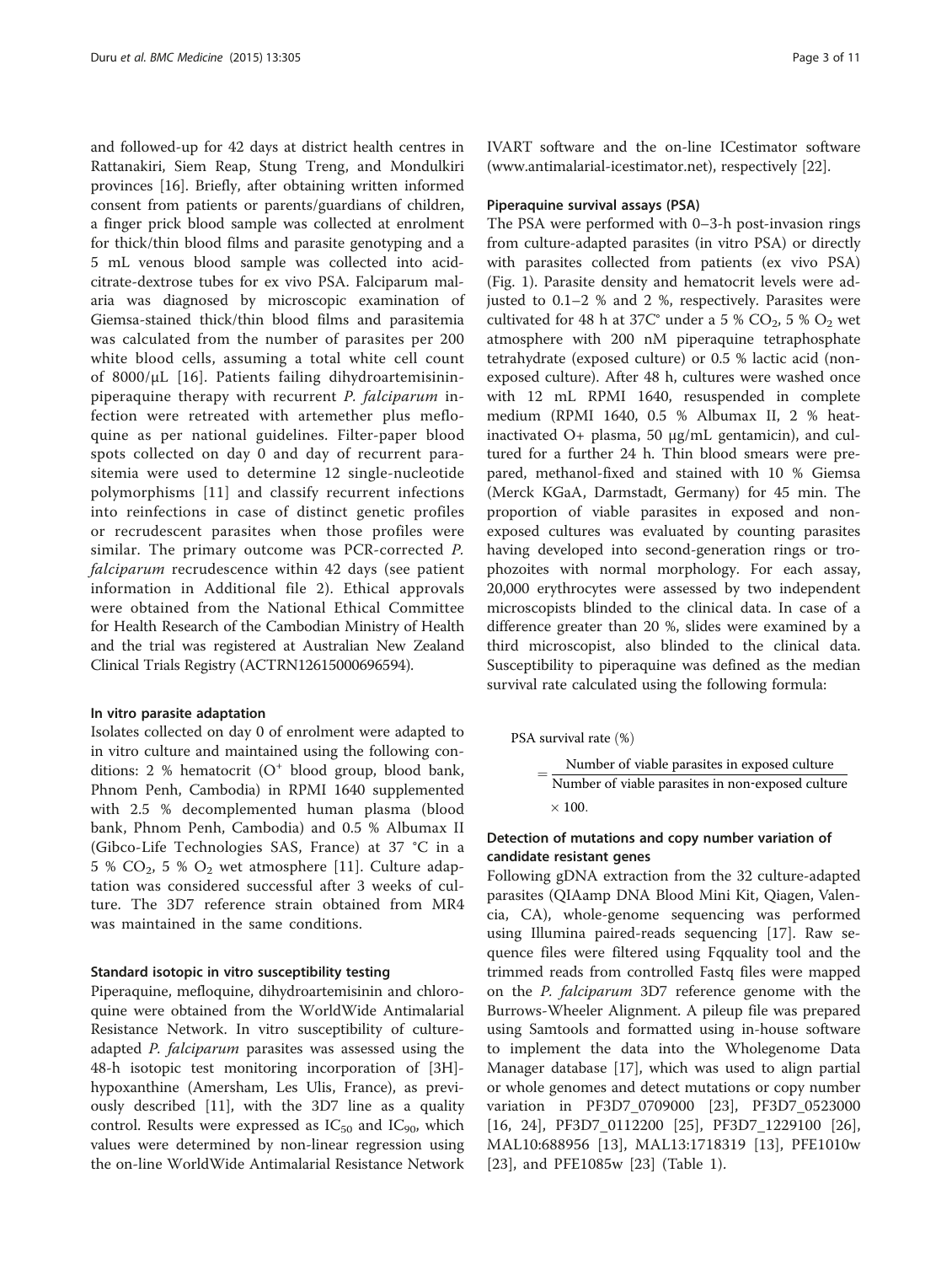and followed-up for 42 days at district health centres in Rattanakiri, Siem Reap, Stung Treng, and Mondulkiri provinces [[16\]](#page-9-0). Briefly, after obtaining written informed consent from patients or parents/guardians of children, a finger prick blood sample was collected at enrolment for thick/thin blood films and parasite genotyping and a 5 mL venous blood sample was collected into acidcitrate-dextrose tubes for ex vivo PSA. Falciparum malaria was diagnosed by microscopic examination of Giemsa-stained thick/thin blood films and parasitemia was calculated from the number of parasites per 200 white blood cells, assuming a total white cell count of 8000/μL [[16](#page-9-0)]. Patients failing dihydroartemisininpiperaquine therapy with recurrent P. falciparum infection were retreated with artemether plus mefloquine as per national guidelines. Filter-paper blood spots collected on day 0 and day of recurrent parasitemia were used to determine 12 single-nucleotide polymorphisms [\[11\]](#page-9-0) and classify recurrent infections into reinfections in case of distinct genetic profiles or recrudescent parasites when those profiles were similar. The primary outcome was PCR-corrected P. falciparum recrudescence within 42 days (see patient information in Additional file [2](#page-9-0)). Ethical approvals were obtained from the National Ethical Committee for Health Research of the Cambodian Ministry of Health and the trial was registered at Australian New Zealand Clinical Trials Registry (ACTRN12615000696594).

#### In vitro parasite adaptation

Isolates collected on day 0 of enrolment were adapted to in vitro culture and maintained using the following conditions: 2 % hematocrit  $(O^+)$  blood group, blood bank, Phnom Penh, Cambodia) in RPMI 1640 supplemented with 2.5 % decomplemented human plasma (blood bank, Phnom Penh, Cambodia) and 0.5 % Albumax II (Gibco-Life Technologies SAS, France) at 37 °C in a 5 %  $CO<sub>2</sub>$ , 5 %  $O<sub>2</sub>$  wet atmosphere [[11](#page-9-0)]. Culture adaptation was considered successful after 3 weeks of culture. The 3D7 reference strain obtained from MR4 was maintained in the same conditions.

#### Standard isotopic in vitro susceptibility testing

Piperaquine, mefloquine, dihydroartemisinin and chloroquine were obtained from the WorldWide Antimalarial Resistance Network. In vitro susceptibility of cultureadapted P. falciparum parasites was assessed using the 48-h isotopic test monitoring incorporation of [3H] hypoxanthine (Amersham, Les Ulis, France), as previously described [\[11](#page-9-0)], with the 3D7 line as a quality control. Results were expressed as  $IC_{50}$  and  $IC_{90}$ , which values were determined by non-linear regression using the on-line WorldWide Antimalarial Resistance Network IVART software and the on-line ICestimator software ([www.antimalarial-icestimator.net\)](http://www.antimalarial-icestimator.net), respectively [[22\]](#page-10-0).

#### Piperaquine survival assays (PSA)

The PSA were performed with 0–3-h post-invasion rings from culture-adapted parasites (in vitro PSA) or directly with parasites collected from patients (ex vivo PSA) (Fig. [1](#page-3-0)). Parasite density and hematocrit levels were adjusted to 0.1–2 % and 2 %, respectively. Parasites were cultivated for 48 h at 37C° under a 5 % CO<sub>2</sub>, 5 % O<sub>2</sub> wet atmosphere with 200 nM piperaquine tetraphosphate tetrahydrate (exposed culture) or 0.5 % lactic acid (nonexposed culture). After 48 h, cultures were washed once with 12 mL RPMI 1640, resuspended in complete medium (RPMI 1640, 0.5 % Albumax II, 2 % heatinactivated O+ plasma, 50 μg/mL gentamicin), and cultured for a further 24 h. Thin blood smears were prepared, methanol-fixed and stained with 10 % Giemsa (Merck KGaA, Darmstadt, Germany) for 45 min. The proportion of viable parasites in exposed and nonexposed cultures was evaluated by counting parasites having developed into second-generation rings or trophozoites with normal morphology. For each assay, 20,000 erythrocytes were assessed by two independent microscopists blinded to the clinical data. In case of a difference greater than 20 %, slides were examined by a third microscopist, also blinded to the clinical data. Susceptibility to piperaquine was defined as the median survival rate calculated using the following formula:

PSA survival rate (%)

$$
= \frac{\text{Number of viable parasites in exposed culture}}{\text{Number of viable parasites in non-exposed culture}} \times 100.
$$

## Detection of mutations and copy number variation of candidate resistant genes

Following gDNA extraction from the 32 culture-adapted parasites (QIAamp DNA Blood Mini Kit, Qiagen, Valencia, CA), whole-genome sequencing was performed using Illumina paired-reads sequencing [[17\]](#page-10-0). Raw sequence files were filtered using Fqquality tool and the trimmed reads from controlled Fastq files were mapped on the P. falciparum 3D7 reference genome with the Burrows-Wheeler Alignment. A pileup file was prepared using Samtools and formatted using in-house software to implement the data into the Wholegenome Data Manager database [\[17\]](#page-10-0), which was used to align partial or whole genomes and detect mutations or copy number variation in PF3D7\_0709000 [[23\]](#page-10-0), PF3D7\_0523000 [[16,](#page-9-0) [24](#page-10-0)], PF3D7\_0112200 [[25\]](#page-10-0), PF3D7\_1229100 [\[26](#page-10-0)], MAL10:688956 [\[13](#page-9-0)], MAL13:1718319 [[13\]](#page-9-0), PFE1010w [[23\]](#page-10-0), and PFE1085w [\[23](#page-10-0)] (Table [1](#page-4-0)).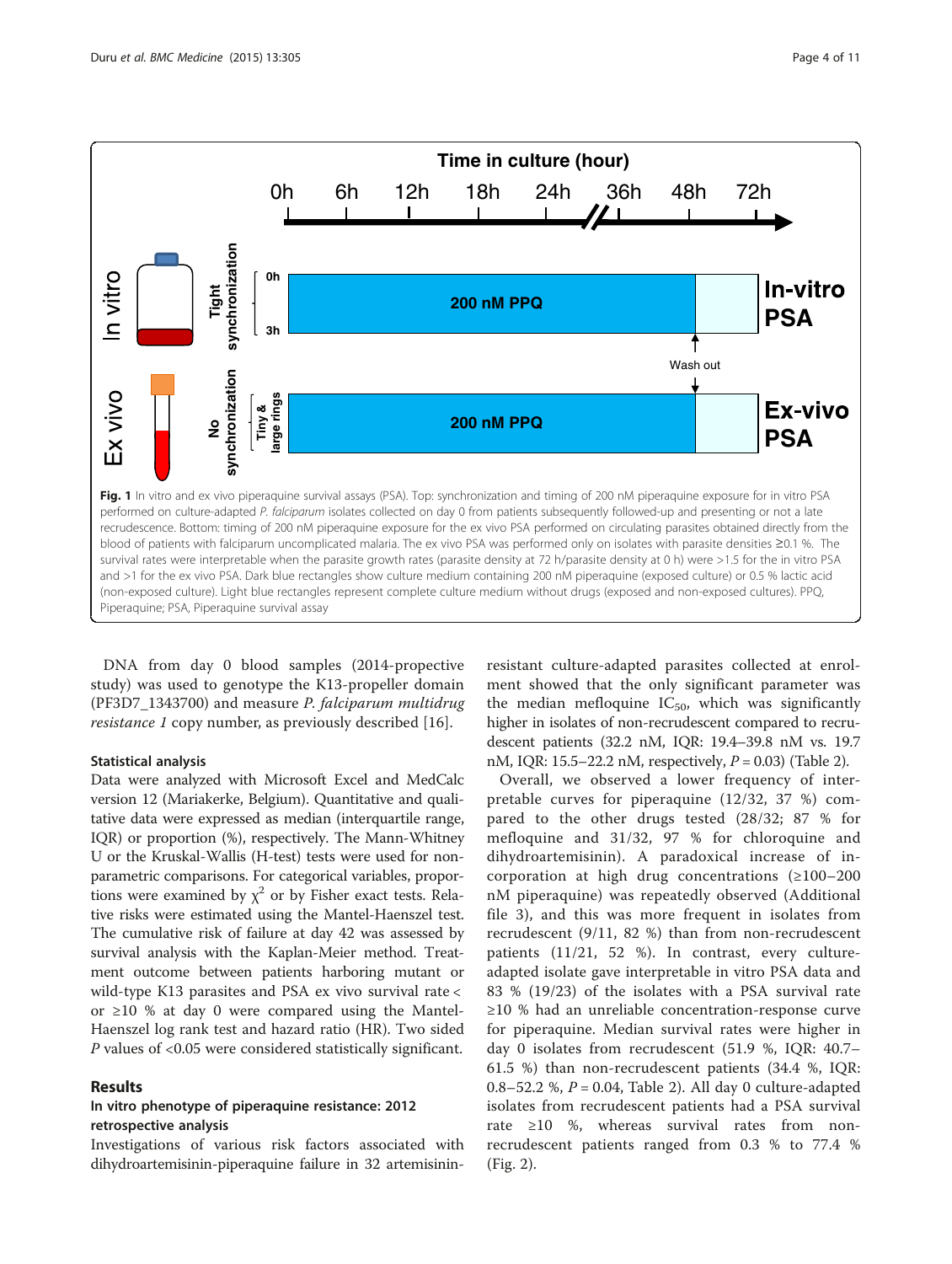<span id="page-3-0"></span>

DNA from day 0 blood samples (2014-propective study) was used to genotype the K13-propeller domain (PF3D7 1343700) and measure P. falciparum multidrug resistance 1 copy number, as previously described [[16](#page-9-0)].

### Statistical analysis

Data were analyzed with Microsoft Excel and MedCalc version 12 (Mariakerke, Belgium). Quantitative and qualitative data were expressed as median (interquartile range, IQR) or proportion (%), respectively. The Mann-Whitney U or the Kruskal-Wallis (H-test) tests were used for nonparametric comparisons. For categorical variables, proportions were examined by  $\chi^2$  or by Fisher exact tests. Relative risks were estimated using the Mantel-Haenszel test. The cumulative risk of failure at day 42 was assessed by survival analysis with the Kaplan-Meier method. Treatment outcome between patients harboring mutant or wild-type K13 parasites and PSA ex vivo survival rate < or ≥10 % at day 0 were compared using the Mantel-Haenszel log rank test and hazard ratio (HR). Two sided P values of <0.05 were considered statistically significant.

### Results

## In vitro phenotype of piperaquine resistance: 2012 retrospective analysis

Investigations of various risk factors associated with dihydroartemisinin-piperaquine failure in 32 artemisininresistant culture-adapted parasites collected at enrolment showed that the only significant parameter was the median mefloquine  $IC_{50}$ , which was significantly higher in isolates of non-recrudescent compared to recrudescent patients (32.2 nM, IQR: 19.4–39.8 nM vs. 19.7 nM, IQR: 15.5–22.2 nM, respectively,  $P = 0.03$  (Table [2](#page-5-0)).

Overall, we observed a lower frequency of interpretable curves for piperaquine (12/32, 37 %) compared to the other drugs tested (28/32; 87 % for mefloquine and 31/32, 97 % for chloroquine and dihydroartemisinin). A paradoxical increase of incorporation at high drug concentrations (≥100–200 nM piperaquine) was repeatedly observed (Additional file [3\)](#page-9-0), and this was more frequent in isolates from recrudescent (9/11, 82 %) than from non-recrudescent patients (11/21, 52 %). In contrast, every cultureadapted isolate gave interpretable in vitro PSA data and 83 % (19/23) of the isolates with a PSA survival rate ≥10 % had an unreliable concentration-response curve for piperaquine. Median survival rates were higher in day 0 isolates from recrudescent (51.9 %, IQR: 40.7– 61.5 %) than non-recrudescent patients (34.4 %, IQR: 0.8–52.2 %,  $P = 0.04$ , Table [2](#page-5-0)). All day 0 culture-adapted isolates from recrudescent patients had a PSA survival rate ≥10 %, whereas survival rates from nonrecrudescent patients ranged from 0.3 % to 77.4 % (Fig. [2\)](#page-6-0).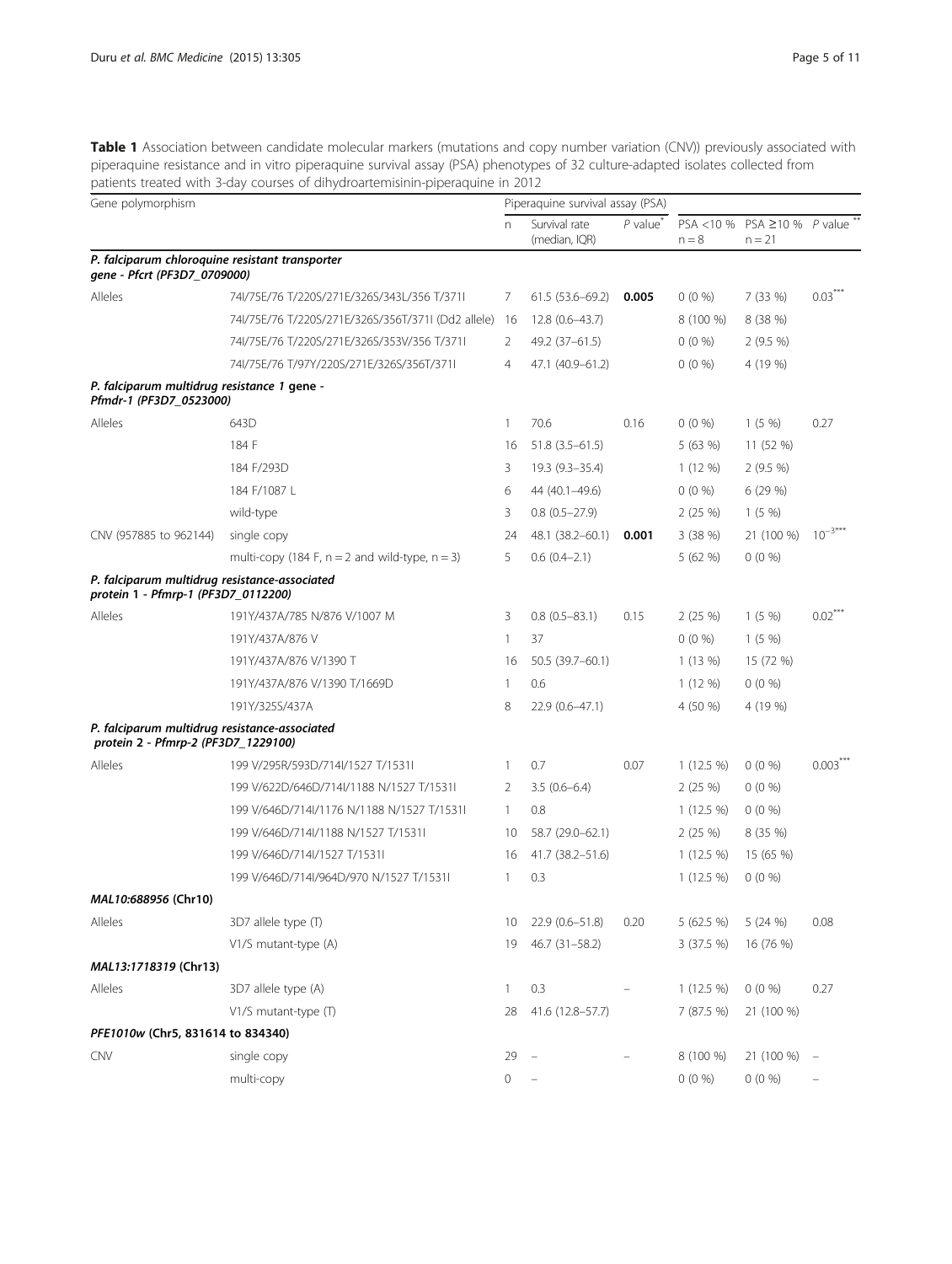<span id="page-4-0"></span>Table 1 Association between candidate molecular markers (mutations and copy number variation (CNV)) previously associated with piperaquine resistance and in vitro piperaquine survival assay (PSA) phenotypes of 32 culture-adapted isolates collected from patients treated with 3-day courses of dihydroartemisinin-piperaquine in 2012

| Gene polymorphism                                                                    |                                                     | Piperaquine survival assay (PSA) |                                |           |                      |                                     |                      |
|--------------------------------------------------------------------------------------|-----------------------------------------------------|----------------------------------|--------------------------------|-----------|----------------------|-------------------------------------|----------------------|
|                                                                                      |                                                     | n                                | Survival rate<br>(median, IQR) | $P$ value | PSA <10 %<br>$n = 8$ | PSA $\geq$ 10 % P value<br>$n = 21$ |                      |
| P. falciparum chloroquine resistant transporter<br>gene - Pfcrt (PF3D7_0709000)      |                                                     |                                  |                                |           |                      |                                     |                      |
| Alleles                                                                              | 74l/75E/76 T/220S/271E/326S/343L/356 T/371l         | 7                                | $61.5(53.6 - 69.2)$            | 0.005     | $0(0\%)$             | 7 (33 %)                            | $0.03***$            |
|                                                                                      | 74I/75E/76 T/220S/271E/326S/356T/371I (Dd2 allele)  | -16                              | 12.8 (0.6-43.7)                |           | 8 (100 %)            | 8 (38 %)                            |                      |
|                                                                                      | 74l/75E/76 T/220S/271E/326S/353V/356 T/371l         | 2                                | 49.2 (37-61.5)                 |           | $0(0\%)$             | 2(9.5%)                             |                      |
|                                                                                      | 74l/75E/76 T/97Y/220S/271E/326S/356T/371I           | $\overline{4}$                   | 47.1 (40.9-61.2)               |           | $0(0\%)$             | 4 (19 %)                            |                      |
| P. falciparum multidrug resistance 1 gene -<br>Pfmdr-1 (PF3D7_0523000)               |                                                     |                                  |                                |           |                      |                                     |                      |
| Alleles                                                                              | 643D                                                | 1                                | 70.6                           | 0.16      | $0(0\%)$             | 1(5%                                | 0.27                 |
|                                                                                      | 184 F                                               | 16                               | $51.8(3.5-61.5)$               |           | 5 (63 %)             | 11 (52 %)                           |                      |
|                                                                                      | 184 F/293D                                          | 3                                | 19.3 (9.3-35.4)                |           | $1(12\%)$            | 2(9.5%)                             |                      |
|                                                                                      | 184 F/1087 L                                        | 6                                | 44 (40.1-49.6)                 |           | $0(0\%)$             | 6(29%)                              |                      |
|                                                                                      | wild-type                                           | 3                                | $0.8(0.5-27.9)$                |           | 2(25%)               | 1(5%                                |                      |
| CNV (957885 to 962144)                                                               | single copy                                         | 24                               | 48.1 (38.2-60.1)               | 0.001     | 3(38%)               | 21 (100 %)                          | $10^{-3***}$         |
|                                                                                      | multi-copy (184 F, $n = 2$ and wild-type, $n = 3$ ) | 5                                | $0.6(0.4 - 2.1)$               |           | 5 (62 %)             | $0(0\%)$                            |                      |
| P. falciparum multidrug resistance-associated<br>protein 1 - Pfmrp-1 (PF3D7_0112200) |                                                     |                                  |                                |           |                      |                                     |                      |
| Alleles                                                                              | 191Y/437A/785 N/876 V/1007 M                        | 3                                | $0.8(0.5-83.1)$                | 0.15      | 2(25%)               | 1(5%                                | $0.02$ <sup>**</sup> |
|                                                                                      | 191Y/437A/876 V                                     | $\mathbf{1}$                     | 37                             |           | $0(0\%)$             | 1(5%                                |                      |
|                                                                                      | 191Y/437A/876 V/1390 T                              | 16                               | 50.5 (39.7-60.1)               |           | $1(13\%)$            | 15 (72 %)                           |                      |
|                                                                                      | 191Y/437A/876 V/1390 T/1669D                        | 1                                | 0.6                            |           | $1(12\%)$            | $0(0\%)$                            |                      |
|                                                                                      | 191Y/325S/437A                                      | 8                                | 22.9 (0.6-47.1)                |           | 4 (50 %)             | 4 (19 %)                            |                      |
| P. falciparum multidrug resistance-associated<br>protein 2 - Pfmrp-2 (PF3D7_1229100) |                                                     |                                  |                                |           |                      |                                     |                      |
| Alleles                                                                              | 199 V/295R/593D/714I/1527 T/1531I                   | $\mathbf{1}$                     | 0.7                            | 0.07      | $1(12.5\%)$          | $0(0\%)$                            | 0.003                |
|                                                                                      | 199 V/622D/646D/714I/1188 N/1527 T/1531I            | 2                                | $3.5(0.6-6.4)$                 |           | 2(25%)               | $0(0\%)$                            |                      |
|                                                                                      | 199 V/646D/714I/1176 N/1188 N/1527 T/1531I          | $\mathbf{1}$                     | 0.8                            |           | $1(12.5\%)$          | $0(0\%)$                            |                      |
|                                                                                      | 199 V/646D/714I/1188 N/1527 T/1531I                 | 10                               | 58.7 (29.0-62.1)               |           | 2(25%)               | 8 (35 %)                            |                      |
|                                                                                      | 199 V/646D/714I/1527 T/1531I                        | 16                               | 41.7 (38.2-51.6)               |           | $1(12.5\%)$          | 15 (65 %)                           |                      |
|                                                                                      | 199 V/646D/714I/964D/970 N/1527 T/1531I             | 1                                | 0.3                            |           | $1(12.5\%)$          | $0(0\%)$                            |                      |
| MAL10:688956 (Chr10)                                                                 |                                                     |                                  |                                |           |                      |                                     |                      |
| Alleles                                                                              | 3D7 allele type (T)                                 | 10                               | 22.9 (0.6-51.8)                | 0.20      | 5 (62.5 %)           | 5 (24 %)                            | 0.08                 |
|                                                                                      | V1/S mutant-type (A)                                | 19                               | 46.7 (31-58.2)                 |           | 3 (37.5 %)           | 16 (76 %)                           |                      |
| MAL13:1718319 (Chr13)                                                                |                                                     |                                  |                                |           |                      |                                     |                      |
| Alleles                                                                              | 3D7 allele type (A)                                 | 1                                | 0.3                            |           | $1(12.5\%)$          | $0(0\%)$                            | 0.27                 |
|                                                                                      | V1/S mutant-type (T)                                | 28                               | 41.6 (12.8-57.7)               |           | 7 (87.5 %)           | 21 (100 %)                          |                      |
| PFE1010w (Chr5, 831614 to 834340)                                                    |                                                     |                                  |                                |           |                      |                                     |                      |
| CNV                                                                                  | single copy                                         | 29                               | $\overline{\phantom{0}}$       |           | 8 (100 %)            | $21(100\%)$ -                       |                      |
|                                                                                      | multi-copy                                          | $\mathsf{O}\xspace$              |                                |           | $0(0\%)$             | $0(0\%)$                            |                      |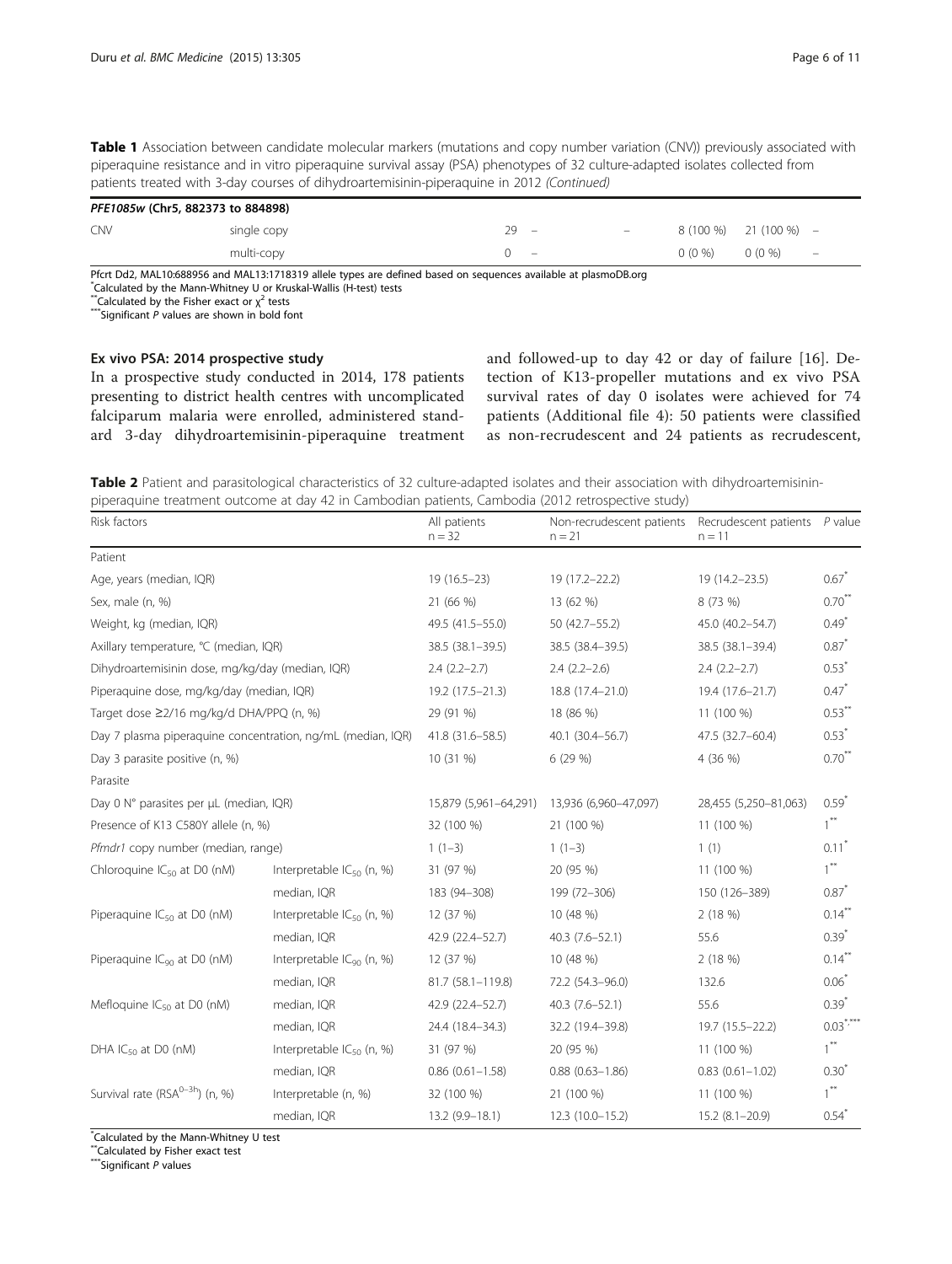<span id="page-5-0"></span>Table 1 Association between candidate molecular markers (mutations and copy number variation (CNV)) previously associated with piperaquine resistance and in vitro piperaquine survival assay (PSA) phenotypes of 32 culture-adapted isolates collected from patients treated with 3-day courses of dihydroartemisinin-piperaquine in 2012 (Continued)

| PFE1085w (Chr5, 882373 to 884898) |             |            |        |                          |                        |                         |  |
|-----------------------------------|-------------|------------|--------|--------------------------|------------------------|-------------------------|--|
| CNV                               | single copy | 2Q.        | $\sim$ | $\overline{\phantom{m}}$ | 8 (100 %) 21 (100 %) – |                         |  |
|                                   | multi-copy  | $\sim$ $-$ |        |                          | $0(0\%)$               | $0(0\% )$<br>$\sim 100$ |  |

Pfcrt Dd2, MAL10:688956 and MAL13:1718319 allele types are defined based on sequences available at plasmoDB.org

\* Calculated by the Mann-Whitney U or Kruskal-Wallis (H-test) tests

\*\*Calculated by the Fisher exact or  $\chi^2$  tests \*\*\*Significant P values are shown in bold font

#### Ex vivo PSA: 2014 prospective study

In a prospective study conducted in 2014, 178 patients presenting to district health centres with uncomplicated falciparum malaria were enrolled, administered standard 3-day dihydroartemisinin-piperaquine treatment and followed-up to day 42 or day of failure [\[16](#page-9-0)]. Detection of K13-propeller mutations and ex vivo PSA survival rates of day 0 isolates were achieved for 74 patients (Additional file [4\)](#page-9-0): 50 patients were classified as non-recrudescent and 24 patients as recrudescent,

Table 2 Patient and parasitological characteristics of 32 culture-adapted isolates and their association with dihydroartemisininpiperaquine treatment outcome at day 42 in Cambodian patients, Cambodia (2012 retrospective study)

| Risk factors                                                |                                       | All patients<br>$n = 32$ | Non-recrudescent patients<br>$n = 21$ | Recrudescent patients P value<br>$n = 11$ |                        |
|-------------------------------------------------------------|---------------------------------------|--------------------------|---------------------------------------|-------------------------------------------|------------------------|
| Patient                                                     |                                       |                          |                                       |                                           |                        |
| Age, years (median, IQR)                                    |                                       | $19(16.5-23)$            | 19 (17.2-22.2)                        | 19 (14.2-23.5)                            | 0.67                   |
| Sex, male (n, %)                                            |                                       | 21 (66 %)                | 13 (62 %)                             | 8 (73 %)                                  | $0.70$ <sup>**</sup>   |
| Weight, kg (median, IQR)                                    |                                       | 49.5 (41.5 - 55.0)       | 50 (42.7-55.2)                        | 45.0 (40.2-54.7)                          | $0.49^{*}$             |
| Axillary temperature, °C (median, IQR)                      |                                       | 38.5 (38.1-39.5)         | 38.5 (38.4-39.5)                      | 38.5 (38.1-39.4)                          | 0.87                   |
| Dihydroartemisinin dose, mg/kg/day (median, IQR)            |                                       | $2.4(2.2-2.7)$           | $2.4(2.2-2.6)$                        | $2.4(2.2 - 2.7)$                          | $0.53*$                |
| Piperaquine dose, mg/kg/day (median, IQR)                   |                                       | 19.2 (17.5-21.3)         | 18.8 (17.4-21.0)                      | 19.4 (17.6-21.7)                          | $0.47$ <sup>*</sup>    |
| Target dose ≥2/16 mg/kg/d DHA/PPQ (n, %)                    |                                       | 29 (91 %)                | 18 (86 %)                             | 11 (100 %)                                | $0.53$ <sup>**</sup>   |
| Day 7 plasma piperaquine concentration, ng/mL (median, IQR) |                                       | 41.8 (31.6–58.5)         | 40.1 (30.4-56.7)                      | 47.5 (32.7-60.4)                          | $0.53^*$               |
| Day 3 parasite positive (n, %)                              |                                       | 10 (31 %)                | 6(29%)                                | 4 (36 %)                                  | $0.70$ <sup>**</sup>   |
| Parasite                                                    |                                       |                          |                                       |                                           |                        |
| Day 0 N° parasites per µL (median, IQR)                     |                                       | 15,879 (5,961-64,291)    | 13,936 (6,960-47,097)                 | 28,455 (5,250-81,063)                     | $0.59^{*}$             |
| Presence of K13 C580Y allele (n, %)                         |                                       | 32 (100 %)               | 21 (100 %)                            | 11 (100 %)                                | $1***$                 |
| Pfmdr1 copy number (median, range)                          |                                       | $1(1-3)$                 | $1(1-3)$                              | 1(1)                                      | $0.11$ <sup>*</sup>    |
| Chloroquine IC <sub>50</sub> at D0 (nM)                     | Interpretable $IC_{50}$ (n, %)        | 31 (97 %)                | 20 (95 %)                             | 11 (100 %)                                | $1***$                 |
|                                                             | median, IQR                           | 183 (94-308)             | 199 (72-306)                          | 150 (126-389)                             | 0.87                   |
| Piperaquine IC <sub>50</sub> at D0 (nM)                     | Interpretable IC <sub>50</sub> (n, %) | 12 (37 %)                | 10 (48 %)                             | 2(18%)                                    | $0.14$ <sup>**</sup>   |
|                                                             | median, IQR                           | 42.9 (22.4-52.7)         | 40.3 (7.6-52.1)                       | 55.6                                      | $0.39^{*}$             |
| Piperaquine IC <sub>90</sub> at D0 (nM)                     | Interpretable $IC_{90}$ (n, %)        | 12 (37 %)                | 10 (48 %)                             | 2(18%)                                    | $0.14***$              |
|                                                             | median, IQR                           | 81.7 (58.1-119.8)        | 72.2 (54.3-96.0)                      | 132.6                                     | $0.06^*$               |
| Mefloquine $IC_{50}$ at D0 (nM)                             | median, IQR                           | 42.9 (22.4-52.7)         | $40.3(7.6 - 52.1)$                    | 55.6                                      | $0.39*$                |
|                                                             | median, IQR                           | 24.4 (18.4-34.3)         | 32.2 (19.4-39.8)                      | 19.7 (15.5-22.2)                          | $0.03$ <sup>****</sup> |
| DHA $IC_{50}$ at D0 (nM)                                    | Interpretable $IC_{50}$ (n, %)        | 31 (97 %)                | 20 (95 %)                             | 11 (100 %)                                | $1***$                 |
|                                                             | median, IQR                           | $0.86(0.61 - 1.58)$      | $0.88(0.63 - 1.86)$                   | $0.83(0.61 - 1.02)$                       | $0.30^{*}$             |
| Survival rate (RSA <sup>0-3h</sup> ) (n, %)                 | Interpretable (n, %)                  | 32 (100 %)               | 21 (100 %)                            | 11 (100 %)                                | $1***$                 |
|                                                             | median, IQR                           | 13.2 (9.9-18.1)          | 12.3 (10.0-15.2)                      | $15.2$ $(8.1 - 20.9)$                     | 0.54                   |

\* Calculated by the Mann-Whitney U test

\*\*Calculated by Fisher exact test

 $*$ Significant  $\overline{P}$  values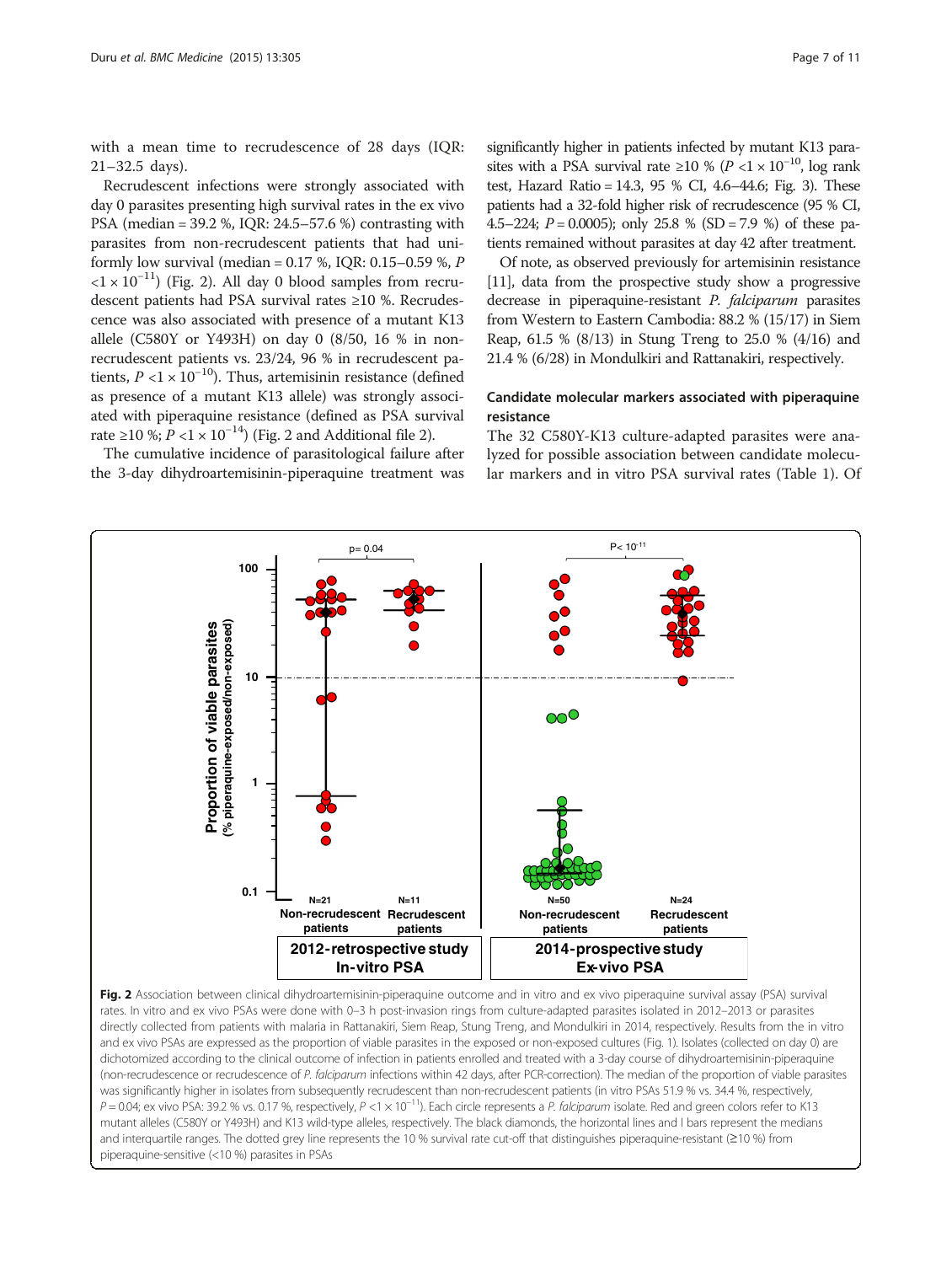<span id="page-6-0"></span>with a mean time to recrudescence of 28 days (IQR: 21–32.5 days).

Recrudescent infections were strongly associated with day 0 parasites presenting high survival rates in the ex vivo PSA (median = 39.2 %, IQR: 24.5–57.6 %) contrasting with parasites from non-recrudescent patients that had uniformly low survival (median = 0.17 %, IQR: 0.15–0.59 %, P  $\langle 1 \times 10^{-11} \rangle$  (Fig. 2). All day 0 blood samples from recrudescent patients had PSA survival rates ≥10 %. Recrudescence was also associated with presence of a mutant K13 allele (C580Y or Y493H) on day 0 (8/50, 16 % in nonrecrudescent patients vs. 23/24, 96 % in recrudescent patients,  $P < 1 \times 10^{-10}$ ). Thus, artemisinin resistance (defined as presence of a mutant K13 allele) was strongly associated with piperaquine resistance (defined as PSA survival rate ≥10 %;  $P < 1 \times 10^{-14}$ ) (Fig. [2](#page-9-0) and Additional file 2).

The cumulative incidence of parasitological failure after the 3-day dihydroartemisinin-piperaquine treatment was significantly higher in patients infected by mutant K13 parasites with a PSA survival rate ≥10 % ( $P$  <1 × 10<sup>-10</sup>, log rank test, Hazard Ratio = 14.3, 95 % CI, 4.6–44.6; Fig. [3\)](#page-7-0). These patients had a 32-fold higher risk of recrudescence (95 % CI, 4.5–224;  $P = 0.0005$ ; only 25.8 % (SD = 7.9 %) of these patients remained without parasites at day 42 after treatment.

Of note, as observed previously for artemisinin resistance [[11](#page-9-0)], data from the prospective study show a progressive decrease in piperaquine-resistant *P. falciparum* parasites from Western to Eastern Cambodia: 88.2 % (15/17) in Siem Reap, 61.5 % (8/13) in Stung Treng to 25.0 % (4/16) and 21.4 % (6/28) in Mondulkiri and Rattanakiri, respectively.

## Candidate molecular markers associated with piperaquine resistance

The 32 C580Y-K13 culture-adapted parasites were analyzed for possible association between candidate molecular markers and in vitro PSA survival rates (Table [1](#page-4-0)). Of



and ex vivo PSAs are expressed as the proportion of viable parasites in the exposed or non-exposed cultures (Fig. [1](#page-3-0)). Isolates (collected on day 0) are dichotomized according to the clinical outcome of infection in patients enrolled and treated with a 3-day course of dihydroartemisinin-piperaquine (non-recrudescence or recrudescence of P. falciparum infections within 42 days, after PCR-correction). The median of the proportion of viable parasites was significantly higher in isolates from subsequently recrudescent than non-recrudescent patients (in vitro PSAs 51.9 % vs. 34.4 %, respectively,  $P = 0.04$ ; ex vivo PSA: 39.2 % vs. 0.17 %, respectively,  $P < 1 \times 10^{-11}$ ). Each circle represents a P. falciparum isolate. Red and green colors refer to K13 mutant alleles (C580Y or Y493H) and K13 wild-type alleles, respectively. The black diamonds, the horizontal lines and I bars represent the medians and interquartile ranges. The dotted grey line represents the 10 % survival rate cut-off that distinguishes piperaquine-resistant (≥10 %) from piperaquine-sensitive (<10 %) parasites in PSAs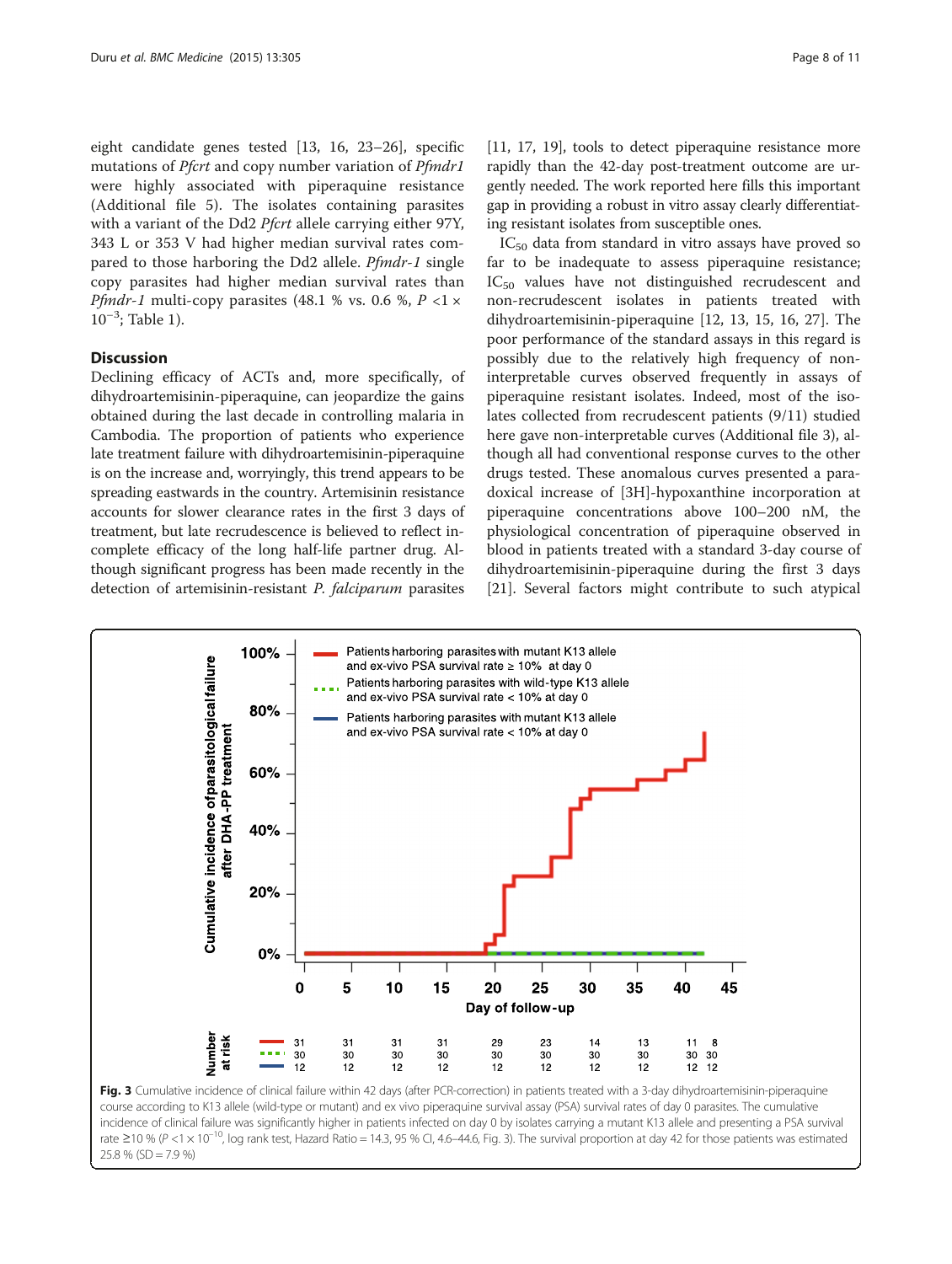<span id="page-7-0"></span>eight candidate genes tested [[13](#page-9-0), [16,](#page-9-0) [23](#page-10-0)–[26](#page-10-0)], specific mutations of *Pfcrt* and copy number variation of *Pfmdr1* were highly associated with piperaquine resistance (Additional file [5\)](#page-9-0). The isolates containing parasites with a variant of the Dd2 Pfcrt allele carrying either 97Y, 343 L or 353 V had higher median survival rates compared to those harboring the Dd2 allele. Pfmdr-1 single copy parasites had higher median survival rates than *Pfmdr-1* multi-copy parasites (48.1 % vs. 0.6 %,  $P \le 1 \times$  $10^{-3}$ ; Table [1](#page-4-0)).

## **Discussion**

Declining efficacy of ACTs and, more specifically, of dihydroartemisinin-piperaquine, can jeopardize the gains obtained during the last decade in controlling malaria in Cambodia. The proportion of patients who experience late treatment failure with dihydroartemisinin-piperaquine is on the increase and, worryingly, this trend appears to be spreading eastwards in the country. Artemisinin resistance accounts for slower clearance rates in the first 3 days of treatment, but late recrudescence is believed to reflect incomplete efficacy of the long half-life partner drug. Although significant progress has been made recently in the detection of artemisinin-resistant P. falciparum parasites [[11](#page-9-0), [17](#page-10-0), [19](#page-10-0)], tools to detect piperaquine resistance more rapidly than the 42-day post-treatment outcome are urgently needed. The work reported here fills this important gap in providing a robust in vitro assay clearly differentiating resistant isolates from susceptible ones.

 $IC_{50}$  data from standard in vitro assays have proved so far to be inadequate to assess piperaquine resistance;  $IC_{50}$  values have not distinguished recrudescent and non-recrudescent isolates in patients treated with dihydroartemisinin-piperaquine [\[12, 13, 15](#page-9-0), [16,](#page-9-0) [27](#page-10-0)]. The poor performance of the standard assays in this regard is possibly due to the relatively high frequency of noninterpretable curves observed frequently in assays of piperaquine resistant isolates. Indeed, most of the isolates collected from recrudescent patients (9/11) studied here gave non-interpretable curves (Additional file [3\)](#page-9-0), although all had conventional response curves to the other drugs tested. These anomalous curves presented a paradoxical increase of [3H]-hypoxanthine incorporation at piperaquine concentrations above 100–200 nM, the physiological concentration of piperaquine observed in blood in patients treated with a standard 3-day course of dihydroartemisinin-piperaquine during the first 3 days [[21\]](#page-10-0). Several factors might contribute to such atypical

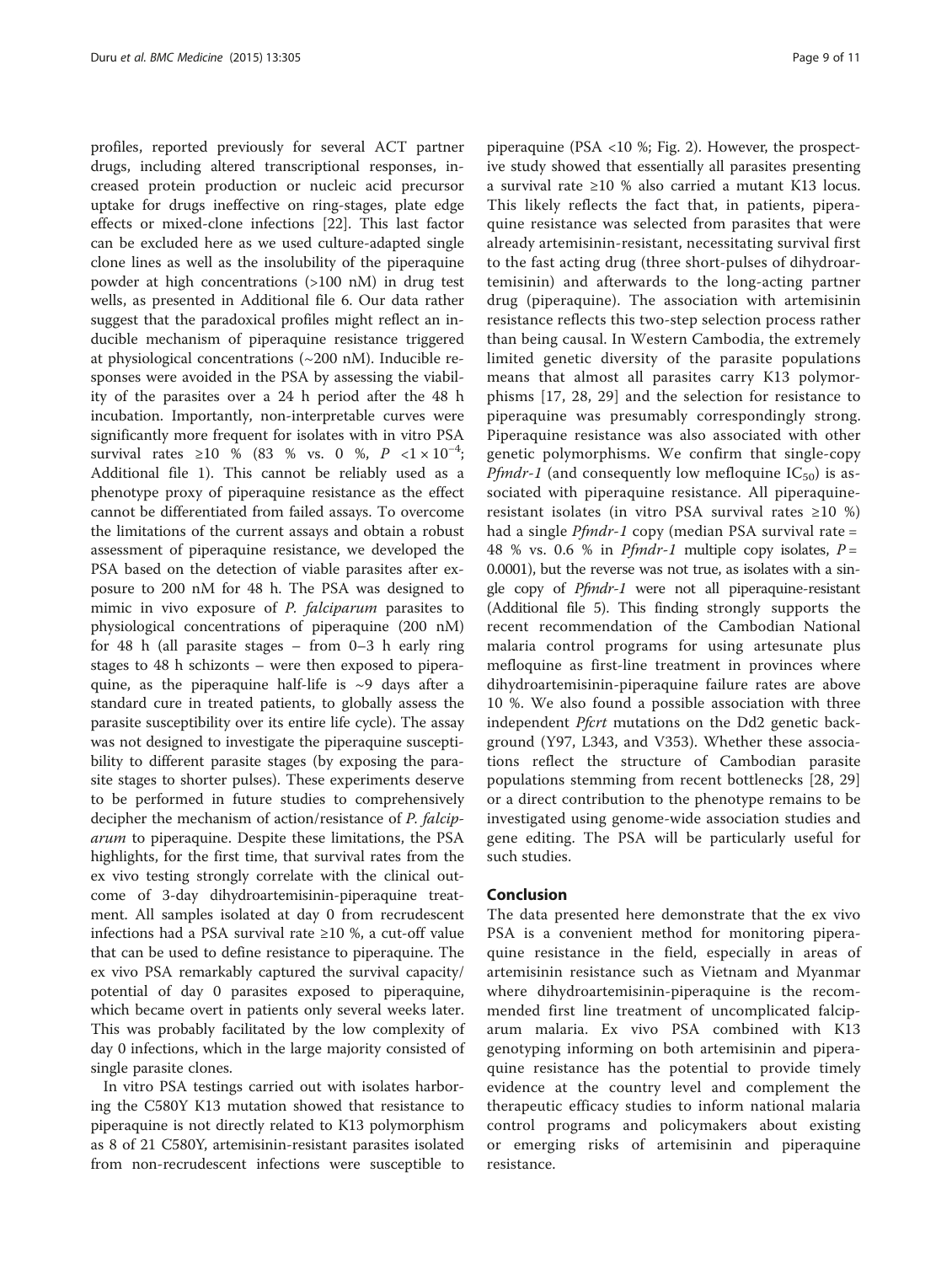profiles, reported previously for several ACT partner drugs, including altered transcriptional responses, increased protein production or nucleic acid precursor uptake for drugs ineffective on ring-stages, plate edge effects or mixed-clone infections [[22\]](#page-10-0). This last factor can be excluded here as we used culture-adapted single clone lines as well as the insolubility of the piperaquine powder at high concentrations (>100 nM) in drug test wells, as presented in Additional file [6](#page-9-0). Our data rather suggest that the paradoxical profiles might reflect an inducible mechanism of piperaquine resistance triggered at physiological concentrations (~200 nM). Inducible responses were avoided in the PSA by assessing the viability of the parasites over a 24 h period after the 48 h incubation. Importantly, non-interpretable curves were significantly more frequent for isolates with in vitro PSA survival rates ≥10 % (83 % vs. 0 %,  $P \le 1 \times 10^{-4}$ ; Additional file [1\)](#page-9-0). This cannot be reliably used as a phenotype proxy of piperaquine resistance as the effect cannot be differentiated from failed assays. To overcome the limitations of the current assays and obtain a robust assessment of piperaquine resistance, we developed the PSA based on the detection of viable parasites after exposure to 200 nM for 48 h. The PSA was designed to mimic in vivo exposure of P. falciparum parasites to physiological concentrations of piperaquine (200 nM) for 48 h (all parasite stages – from 0–3 h early ring stages to 48 h schizonts – were then exposed to piperaquine, as the piperaquine half-life is  $\sim$ 9 days after a standard cure in treated patients, to globally assess the parasite susceptibility over its entire life cycle). The assay was not designed to investigate the piperaquine susceptibility to different parasite stages (by exposing the parasite stages to shorter pulses). These experiments deserve to be performed in future studies to comprehensively decipher the mechanism of action/resistance of P. falciparum to piperaquine. Despite these limitations, the PSA highlights, for the first time, that survival rates from the ex vivo testing strongly correlate with the clinical outcome of 3-day dihydroartemisinin-piperaquine treatment. All samples isolated at day 0 from recrudescent infections had a PSA survival rate ≥10 %, a cut-off value that can be used to define resistance to piperaquine. The ex vivo PSA remarkably captured the survival capacity/ potential of day 0 parasites exposed to piperaquine, which became overt in patients only several weeks later. This was probably facilitated by the low complexity of day 0 infections, which in the large majority consisted of single parasite clones.

In vitro PSA testings carried out with isolates harboring the C580Y K13 mutation showed that resistance to piperaquine is not directly related to K13 polymorphism as 8 of 21 C580Y, artemisinin-resistant parasites isolated from non-recrudescent infections were susceptible to

piperaquine (PSA <10 %; Fig. [2\)](#page-6-0). However, the prospective study showed that essentially all parasites presenting a survival rate ≥10 % also carried a mutant K13 locus. This likely reflects the fact that, in patients, piperaquine resistance was selected from parasites that were already artemisinin-resistant, necessitating survival first to the fast acting drug (three short-pulses of dihydroartemisinin) and afterwards to the long-acting partner drug (piperaquine). The association with artemisinin resistance reflects this two-step selection process rather than being causal. In Western Cambodia, the extremely limited genetic diversity of the parasite populations means that almost all parasites carry K13 polymorphisms [[17, 28](#page-10-0), [29](#page-10-0)] and the selection for resistance to piperaquine was presumably correspondingly strong. Piperaquine resistance was also associated with other genetic polymorphisms. We confirm that single-copy *Pfmdr-1* (and consequently low mefloquine  $IC_{50}$ ) is associated with piperaquine resistance. All piperaquineresistant isolates (in vitro PSA survival rates ≥10 %) had a single *Pfmdr-1* copy (median PSA survival rate = 48 % vs. 0.6 % in *Pfmdr-1* multiple copy isolates,  $P =$ 0.0001), but the reverse was not true, as isolates with a single copy of *Pfmdr-1* were not all piperaquine-resistant (Additional file [5](#page-9-0)). This finding strongly supports the recent recommendation of the Cambodian National malaria control programs for using artesunate plus mefloquine as first-line treatment in provinces where dihydroartemisinin-piperaquine failure rates are above 10 %. We also found a possible association with three independent *Pfcrt* mutations on the Dd2 genetic background (Y97, L343, and V353). Whether these associations reflect the structure of Cambodian parasite populations stemming from recent bottlenecks [[28, 29](#page-10-0)] or a direct contribution to the phenotype remains to be investigated using genome-wide association studies and gene editing. The PSA will be particularly useful for such studies.

## Conclusion

The data presented here demonstrate that the ex vivo PSA is a convenient method for monitoring piperaquine resistance in the field, especially in areas of artemisinin resistance such as Vietnam and Myanmar where dihydroartemisinin-piperaquine is the recommended first line treatment of uncomplicated falciparum malaria. Ex vivo PSA combined with K13 genotyping informing on both artemisinin and piperaquine resistance has the potential to provide timely evidence at the country level and complement the therapeutic efficacy studies to inform national malaria control programs and policymakers about existing or emerging risks of artemisinin and piperaquine resistance.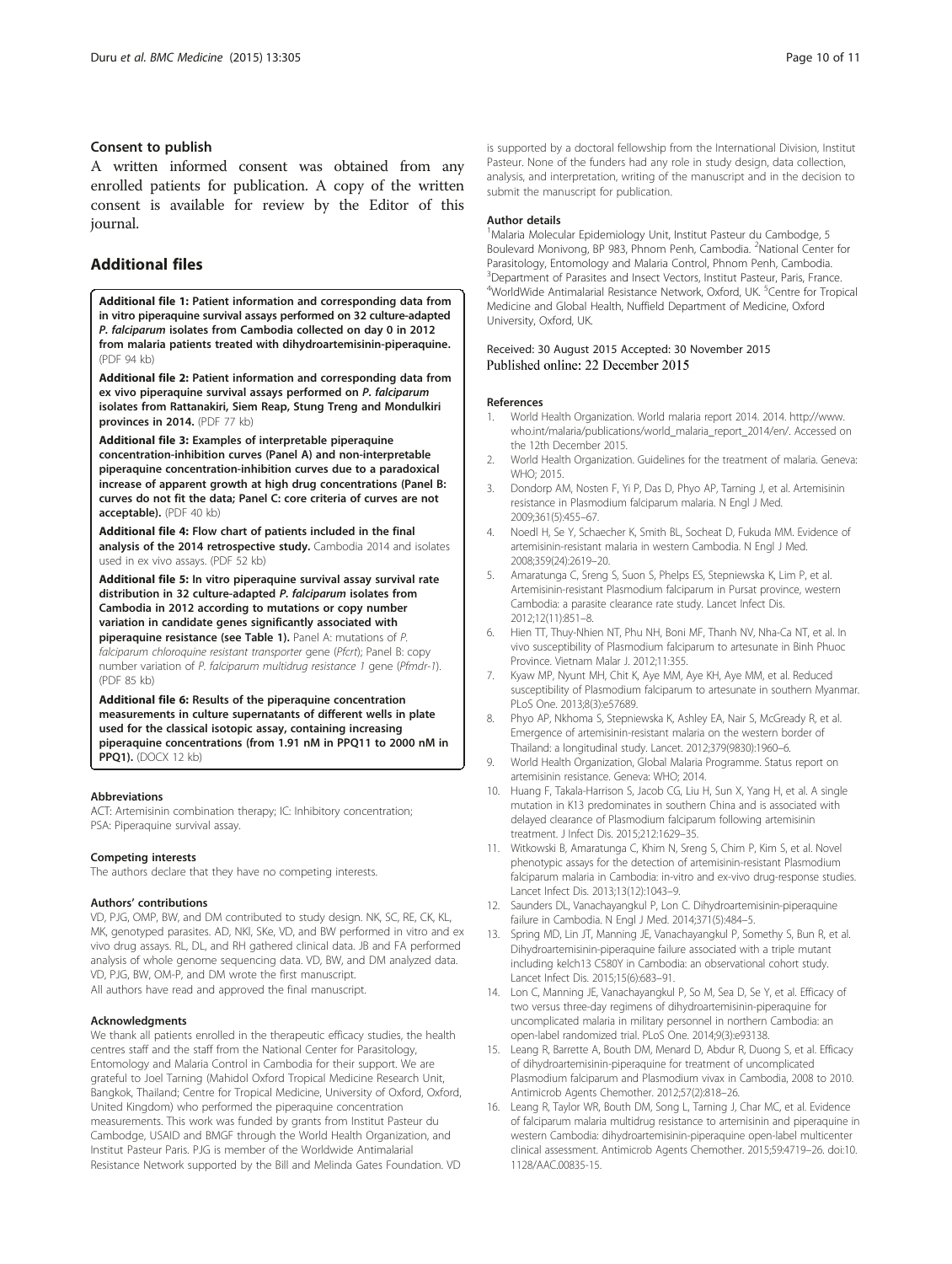### <span id="page-9-0"></span>Consent to publish

A written informed consent was obtained from any enrolled patients for publication. A copy of the written consent is available for review by the Editor of this journal.

## Additional files

[Additional file 1:](dx.doi.org/10.1186/s12916-015-0539-5) Patient information and corresponding data from in vitro piperaquine survival assays performed on 32 culture-adapted P. falciparum isolates from Cambodia collected on day 0 in 2012 from malaria patients treated with dihydroartemisinin-piperaquine. (PDF 94 kb)

[Additional file 2:](dx.doi.org/10.1186/s12916-015-0539-5) Patient information and corresponding data from ex vivo piperaquine survival assays performed on P. falciparum isolates from Rattanakiri, Siem Reap, Stung Treng and Mondulkiri provinces in 2014. (PDF 77 kb)

[Additional file 3:](dx.doi.org/10.1186/s12916-015-0539-5) Examples of interpretable piperaquine concentration-inhibition curves (Panel A) and non-interpretable piperaquine concentration-inhibition curves due to a paradoxical increase of apparent growth at high drug concentrations (Panel B: curves do not fit the data; Panel C: core criteria of curves are not acceptable). (PDF 40 kb)

[Additional file 4:](dx.doi.org/10.1186/s12916-015-0539-5) Flow chart of patients included in the final analysis of the 2014 retrospective study. Cambodia 2014 and isolates used in ex vivo assays. (PDF 52 kb)

[Additional file 5:](dx.doi.org/10.1186/s12916-015-0539-5) In vitro piperaquine survival assay survival rate distribution in 32 culture-adapted P. falciparum isolates from Cambodia in 2012 according to mutations or copy number variation in candidate genes significantly associated with piperaquine resistance (see Table [1](#page-4-0)). Panel A: mutations of P. falciparum chloroquine resistant transporter gene (Pfcrt); Panel B: copy

number variation of P. falciparum multidrug resistance 1 gene (Pfmdr-1). (PDF 85 kb)

[Additional file 6:](dx.doi.org/10.1186/s12916-015-0539-5) Results of the piperaquine concentration measurements in culture supernatants of different wells in plate used for the classical isotopic assay, containing increasing piperaquine concentrations (from 1.91 nM in PPQ11 to 2000 nM in **PPQ1).** (DOCX 12 kb)

#### Abbreviations

ACT: Artemisinin combination therapy; IC: Inhibitory concentration; PSA: Piperaquine survival assay.

#### Competing interests

The authors declare that they have no competing interests.

#### Authors' contributions

VD, PJG, OMP, BW, and DM contributed to study design. NK, SC, RE, CK, KL, MK, genotyped parasites. AD, NKl, SKe, VD, and BW performed in vitro and ex vivo drug assays. RL, DL, and RH gathered clinical data. JB and FA performed analysis of whole genome sequencing data. VD, BW, and DM analyzed data. VD, PJG, BW, OM-P, and DM wrote the first manuscript. All authors have read and approved the final manuscript.

#### Acknowledgments

We thank all patients enrolled in the therapeutic efficacy studies, the health centres staff and the staff from the National Center for Parasitology, Entomology and Malaria Control in Cambodia for their support. We are grateful to Joel Tarning (Mahidol Oxford Tropical Medicine Research Unit, Bangkok, Thailand; Centre for Tropical Medicine, University of Oxford, Oxford, United Kingdom) who performed the piperaquine concentration measurements. This work was funded by grants from Institut Pasteur du Cambodge, USAID and BMGF through the World Health Organization, and Institut Pasteur Paris. PJG is member of the Worldwide Antimalarial Resistance Network supported by the Bill and Melinda Gates Foundation. VD is supported by a doctoral fellowship from the International Division, Institut Pasteur. None of the funders had any role in study design, data collection, analysis, and interpretation, writing of the manuscript and in the decision to submit the manuscript for publication.

#### Author details

<sup>1</sup>Malaria Molecular Epidemiology Unit, Institut Pasteur du Cambodge, 5 Boulevard Monivong, BP 983, Phnom Penh, Cambodia. <sup>2</sup>National Center for Parasitology, Entomology and Malaria Control, Phnom Penh, Cambodia. <sup>3</sup>Department of Parasites and Insect Vectors, Institut Pasteur, Paris, France <sup>4</sup>WorldWide Antimalarial Resistance Network, Oxford, UK. <sup>5</sup>Centre for Tropical Medicine and Global Health, Nuffield Department of Medicine, Oxford University, Oxford, UK.

# Received: 30 August 2015 Accepted: 30 November 2015<br>Published online: 22 December 2015

#### References

- 1. World Health Organization. World malaria report 2014. 2014. [http://www.](http://www.who.int/malaria/publications/world_malaria_report_2014/en/) [who.int/malaria/publications/world\\_malaria\\_report\\_2014/en/.](http://www.who.int/malaria/publications/world_malaria_report_2014/en/) Accessed on the 12th December 2015.
- 2. World Health Organization. Guidelines for the treatment of malaria. Geneva: WHO; 2015.
- 3. Dondorp AM, Nosten F, Yi P, Das D, Phyo AP, Tarning J, et al. Artemisinin resistance in Plasmodium falciparum malaria. N Engl J Med. 2009;361(5):455–67.
- 4. Noedl H, Se Y, Schaecher K, Smith BL, Socheat D, Fukuda MM. Evidence of artemisinin-resistant malaria in western Cambodia. N Engl J Med. 2008;359(24):2619–20.
- 5. Amaratunga C, Sreng S, Suon S, Phelps ES, Stepniewska K, Lim P, et al. Artemisinin-resistant Plasmodium falciparum in Pursat province, western Cambodia: a parasite clearance rate study. Lancet Infect Dis. 2012;12(11):851–8.
- 6. Hien TT, Thuy-Nhien NT, Phu NH, Boni MF, Thanh NV, Nha-Ca NT, et al. In vivo susceptibility of Plasmodium falciparum to artesunate in Binh Phuoc Province. Vietnam Malar J. 2012;11:355.
- 7. Kyaw MP, Nyunt MH, Chit K, Aye MM, Aye KH, Aye MM, et al. Reduced susceptibility of Plasmodium falciparum to artesunate in southern Myanmar. PLoS One. 2013;8(3):e57689.
- 8. Phyo AP, Nkhoma S, Stepniewska K, Ashley EA, Nair S, McGready R, et al. Emergence of artemisinin-resistant malaria on the western border of Thailand: a longitudinal study. Lancet. 2012;379(9830):1960–6.
- 9. World Health Organization, Global Malaria Programme. Status report on artemisinin resistance. Geneva: WHO; 2014.
- 10. Huang F, Takala-Harrison S, Jacob CG, Liu H, Sun X, Yang H, et al. A single mutation in K13 predominates in southern China and is associated with delayed clearance of Plasmodium falciparum following artemisinin treatment. J Infect Dis. 2015;212:1629–35.
- 11. Witkowski B, Amaratunga C, Khim N, Sreng S, Chim P, Kim S, et al. Novel phenotypic assays for the detection of artemisinin-resistant Plasmodium falciparum malaria in Cambodia: in-vitro and ex-vivo drug-response studies. Lancet Infect Dis. 2013;13(12):1043–9.
- 12. Saunders DL, Vanachayangkul P, Lon C. Dihydroartemisinin-piperaquine failure in Cambodia. N Engl J Med. 2014;371(5):484–5.
- 13. Spring MD, Lin JT, Manning JE, Vanachayangkul P, Somethy S, Bun R, et al. Dihydroartemisinin-piperaquine failure associated with a triple mutant including kelch13 C580Y in Cambodia: an observational cohort study. Lancet Infect Dis. 2015;15(6):683–91.
- 14. Lon C, Manning JE, Vanachayangkul P, So M, Sea D, Se Y, et al. Efficacy of two versus three-day regimens of dihydroartemisinin-piperaquine for uncomplicated malaria in military personnel in northern Cambodia: an open-label randomized trial. PLoS One. 2014;9(3):e93138.
- 15. Leang R, Barrette A, Bouth DM, Menard D, Abdur R, Duong S, et al. Efficacy of dihydroartemisinin-piperaquine for treatment of uncomplicated Plasmodium falciparum and Plasmodium vivax in Cambodia, 2008 to 2010. Antimicrob Agents Chemother. 2012;57(2):818–26.
- 16. Leang R, Taylor WR, Bouth DM, Song L, Tarning J, Char MC, et al. Evidence of falciparum malaria multidrug resistance to artemisinin and piperaquine in western Cambodia: dihydroartemisinin-piperaquine open-label multicenter clinical assessment. Antimicrob Agents Chemother. 2015;59:4719–26. doi[:10.](http://dx.doi.org/10.1128/AAC.00835-15) [1128/AAC.00835-15](http://dx.doi.org/10.1128/AAC.00835-15).